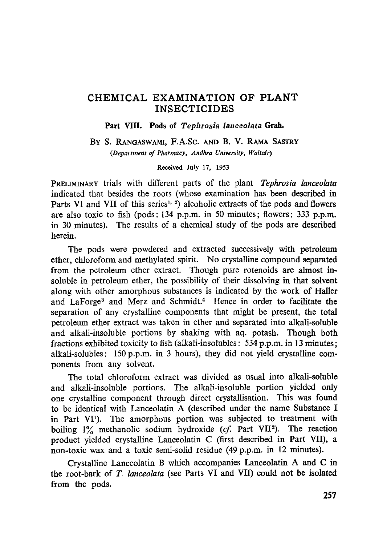## CHEMICAL EXAMINATION OF PLANT INSECTICIDES

Part VIII. Pods of *Tephrosia lanceolata* Grah.

BY S. RANGASWAMI, F.A.Sc. AND B. V. RAMA SASTRY *(Department of Pharmacy, Andhra University, Waltair)* 

Received July 17, 1953

PRELIMINARY trials with different parts of the plant *Tephrosia lanceolata*  indicated that besides the roots (whose examination has been described in Parts VI and VII of this series<sup>1, 2</sup>) alcoholic extracts of the pods and flowers are also toxic to fish (pods: 134 p.p.m, in 50 minutes; flowers: 333 p.p.m. in 30 minutes). The results of a chemical study of the pods are described herein.

The pods were powdered and extracted successively with petroleum ether, chloroform and methylated spirit. No crystalline compound separated from the petroleum ether extract. Though pure rotenoids are almost insoluble in petroleum ether, the possibility of their dissolving in that solvent along with other amorphous substances is indicated by the work of Haller and LaForge<sup>3</sup> and Merz and Schmidt.<sup>4</sup> Hence in order to facilitate the separation of any crystalline components that might be present, the total petroleum ether extract was taken in ether and separated into alkali-soluble and alkali-insoluble portions by shaking with aq. potash. Though both fractions exhibited toxicity to fish (alkali-insolubles: 534 p.p.m, in 13 minutes; alkali-solubles: 150 p.p.m, in 3 hours), they did not yield crystalline components from any solvent.

The total chloroform extract was divided as usual into alkali-soluble and alkali-insoluble portions. The alkali-insoluble portion yielded only one crystalline component through direct crystallisation. This was found to be identical with Lanceolatin A (described under the name Substance I in Part VI<sup>1</sup>). The amorphous portion was subjected to treatment with boiling  $1\%$  methanolic sodium hydroxide (cf. Part VII<sup>2</sup>). The reaction product yielded crystalline Lanceolatin C (first described in Part VII), a non-toxic wax and a toxic semi-solid residue (49 p.p.m, in 12 minutes).

Crystalline Lanceolatin B which accompanies Lanceolatin A and C in the root-bark of *I". lanceolata* (see Parts VI and VII) could not be isolated from the pods.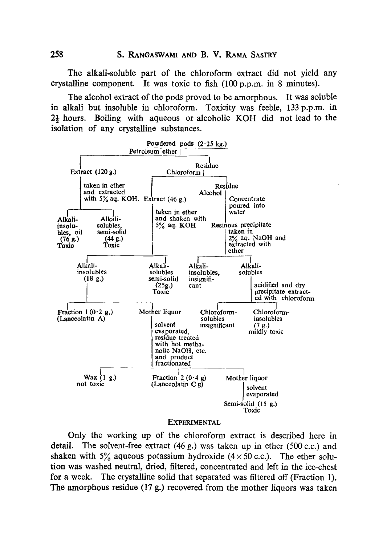The alkali-soluble part of the chloroform extract did not yield any crystalline component. It was toxic to fish (100 p.p.m, in 8 minutes).

The alcohol extract of the pods proved to be amorphous. It was soluble in alkali but insoluble in chloroform. Toxicity was feeble, 133 p.p.m, in  $2\frac{1}{2}$  hours. Boiling with aqueous or alcoholic KOH did not lead to the isolation of any crystalline substances.



## **EXPERIMENTAL**

Only the working up of the chloroform extract is described here in detail. The solvent-free extract (46 g.) was taken up in ether (500 c.c.) and shaken with 5% aqueous potassium hydroxide  $(4 \times 50 \text{ c.c.})$ . The ether solution was washed neutral, dried, filtered, concentrated and left in the ice-chest for a week. The crystalline solid that separated was filtered off (Fraction 1). The amorphous residue (17 g.) recovered from the mother liquors was taken